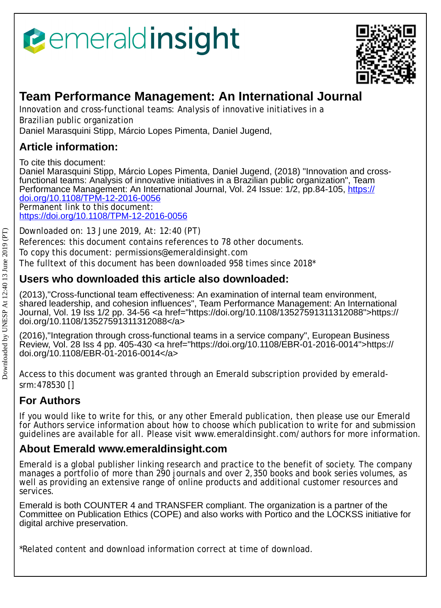# *<u><b>emeraldinsight</u>*



# **Team Performance Management: An International Journal**

Innovation and cross-functional teams: Analysis of innovative initiatives in a Brazilian public organization Daniel Marasquini Stipp, Márcio Lopes Pimenta, Daniel Jugend,

# **Article information:**

To cite this document:

Daniel Marasquini Stipp, Márcio Lopes Pimenta, Daniel Jugend, (2018) "Innovation and crossfunctional teams: Analysis of innovative initiatives in a Brazilian public organization", Team Performance Management: An International Journal, Vol. 24 Issue: 1/2, pp.84-105, [https://](https://doi.org/10.1108/TPM-12-2016-0056) [doi.org/10.1108/TPM-12-2016-0056](https://doi.org/10.1108/TPM-12-2016-0056) Permanent link to this document: <https://doi.org/10.1108/TPM-12-2016-0056>

Downloaded on: 13 June 2019, At: 12:40 (PT) References: this document contains references to 78 other documents. To copy this document: permissions@emeraldinsight.com The fulltext of this document has been downloaded 958 times since 2018\*

# **Users who downloaded this article also downloaded:**

(2013),"Cross-functional team effectiveness: An examination of internal team environment, shared leadership, and cohesion influences", Team Performance Management: An International Journal, Vol. 19 Iss 1/2 pp. 34-56 <a href="https://doi.org/10.1108/13527591311312088">https:// doi.org/10.1108/13527591311312088</a>

(2016),"Integration through cross-functional teams in a service company", European Business Review, Vol. 28 Iss 4 pp. 405-430 <a href="https://doi.org/10.1108/EBR-01-2016-0014">https:// doi.org/10.1108/EBR-01-2016-0014</a>

Access to this document was granted through an Emerald subscription provided by emeraldsrm:478530 []

# **For Authors**

If you would like to write for this, or any other Emerald publication, then please use our Emerald for Authors service information about how to choose which publication to write for and submission guidelines are available for all. Please visit www.emeraldinsight.com/authors for more information.

# **About Emerald www.emeraldinsight.com**

Emerald is a global publisher linking research and practice to the benefit of society. The company manages a portfolio of more than 290 journals and over 2,350 books and book series volumes, as well as providing an extensive range of online products and additional customer resources and services.

Emerald is both COUNTER 4 and TRANSFER compliant. The organization is a partner of the Committee on Publication Ethics (COPE) and also works with Portico and the LOCKSS initiative for digital archive preservation.

\*Related content and download information correct at time of download.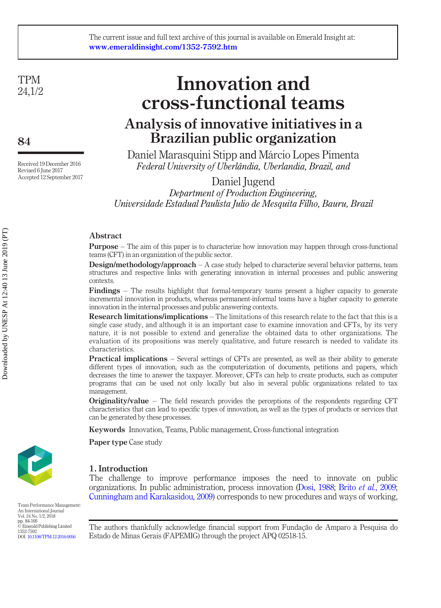TPM 24,1/2

84

Received 19 December 2016 Revised 6 June 2017 Accepted 12 September 2017

# Innovation and cross-functional teams

# Analysis of innovative initiatives in a Brazilian public organization

Daniel Marasquini Stipp and Márcio Lopes Pimenta Federal University of Uberlândia, Uberlandia, Brazil, and

### Daniel Jugend

Department of Production Engineering, Universidade Estadual Paulista Julio de Mesquita Filho, Bauru, Brazil

#### Abstract

Purpose – The aim of this paper is to characterize how innovation may happen through cross-functional teams (CFT) in an organization of the public sector.

**Design/methodology/approach**  $- A$  case study helped to characterize several behavior patterns, team structures and respective links with generating innovation in internal processes and public answering contexts.

Findings – The results highlight that formal-temporary teams present a higher capacity to generate incremental innovation in products, whereas permanent-informal teams have a higher capacity to generate innovation in the internal processes and public answering contexts.

Research limitations/implications – The limitations of this research relate to the fact that this is a single case study, and although it is an important case to examine innovation and CFTs, by its very nature, it is not possible to extend and generalize the obtained data to other organizations. The evaluation of its propositions was merely qualitative, and future research is needed to validate its characteristics.

Practical implications – Several settings of CFTs are presented, as well as their ability to generate different types of innovation, such as the computerization of documents, petitions and papers, which decreases the time to answer the taxpayer. Moreover, CFTs can help to create products, such as computer programs that can be used not only locally but also in several public organizations related to tax management.

Originality/value – The field research provides the perceptions of the respondents regarding CFT characteristics that can lead to specific types of innovation, as well as the types of products or services that can be generated by these processes.

Keywords Innovation, Teams, Public management, Cross-functional integration

Paper type Case study



#### 1. Introduction

The challenge to improve performance imposes the need to innovate on public organizations. In public administration, process innovation ([Dosi, 1988;](#page-19-0) Brito et al.[, 2009;](#page-18-0) [Cunningham and Karakasidou, 2009\)](#page-19-1) corresponds to new procedures and ways of working,

Team Performance Management: An International Journal Vol. 24 No. 1/2, 2018 pp. 84-105 © Emerald Publishing Limited 1352-7592 DOI [10.1108/TPM-12-2016-0056](http://dx.doi.org/10.1108/TPM-12-2016-0056)

The authors thankfully acknowledge financial support from Fundação de Amparo à Pesquisa do Estado de Minas Gerais (FAPEMIG) through the project APQ 02518-15.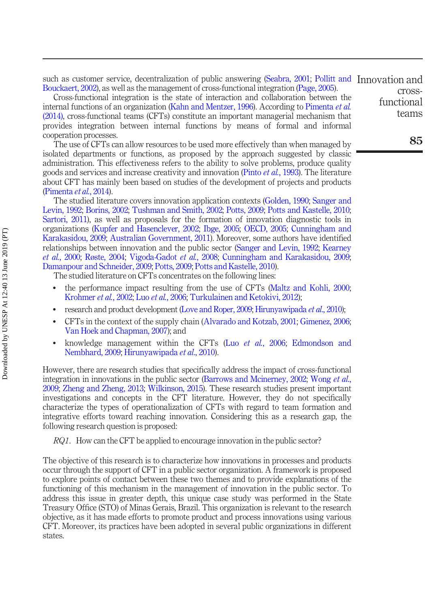such as customer service, decentralization of public answering [\(Seabra, 2001](#page-21-0); [Pollitt and](#page-21-1) Innovation and [Bouckaert, 2002\)](#page-21-1), as well as the management of cross-functional integration ([Page, 2005\)](#page-20-0). cross-

Cross-functional integration is the state of interaction and collaboration between the internal functions of an organization ([Kahn and Mentzer, 1996](#page-20-1)). According to [Pimenta](#page-20-2) et al. [\(2014\)](#page-20-2), cross-functional teams (CFTs) constitute an important managerial mechanism that provides integration between internal functions by means of formal and informal cooperation processes.

The use of CFTs can allow resources to be used more effectively than when managed by isolated departments or functions, as proposed by the approach suggested by classic administration. This effectiveness refers to the ability to solve problems, produce quality goods and services and increase creativity and innovation (Pinto et al.[, 1993](#page-21-2)). The literature about CFT has mainly been based on studies of the development of projects and products [\(Pimenta](#page-20-2) et al., 2014).

The studied literature covers innovation application contexts ([Golden, 1990](#page-19-2); [Sanger and](#page-21-3) [Levin, 1992;](#page-21-3) [Borins, 2002](#page-18-1); [Tushman and Smith, 2002;](#page-21-4) [Potts, 2009](#page-21-5); [Potts and Kastelle, 2010](#page-21-6); [Sartori, 2011\)](#page-21-7), as well as proposals for the formation of innovation diagnostic tools in organizations [\(Kupfer and Hasenclever, 2002](#page-20-3); [Ibge, 2005;](#page-19-3) [OECD, 2005;](#page-20-4) [Cunningham and](#page-19-1) [Karakasidou, 2009](#page-19-1); [Australian Government, 2011](#page-18-2)). Moreover, some authors have identified relationships between innovation and the public sector [\(Sanger and Levin, 1992](#page-21-3); [Kearney](#page-20-5) et al.[, 2000;](#page-20-5) [Røste, 2004;](#page-21-8) [Vigoda-Gadot](#page-21-9) et al., 2008; [Cunningham and Karakasidou, 2009](#page-19-1); [Damanpour and Schneider, 2009;](#page-19-4) [Potts, 2009](#page-21-5); [Potts and Kastelle, 2010\)](#page-21-6).

The studied literature on CFTs concentrates on the following lines:

- the performance impact resulting from the use of CFTs ([Maltz and Kohli, 2000](#page-20-6); [Krohmer](#page-20-7) et al., 2002; Luo et al.[, 2006;](#page-20-8) [Turkulainen and Ketokivi, 2012\)](#page-21-10);
- research and product development [\(Love and Roper, 2009;](#page-20-9) [Hirunyawipada](#page-19-5) et al., 2010);
- CFTs in the context of the supply chain ([Alvarado and Kotzab, 2001;](#page-18-3) [Gimenez, 2006](#page-19-6); [Van Hoek and Chapman, 2007](#page-21-11)); and
- knowledge management within the CFTs (Luo et al.[, 2006](#page-20-8); [Edmondson and](#page-19-7) [Nembhard, 2009](#page-19-7); [Hirunyawipada](#page-19-5) et al., 2010).

However, there are research studies that specifically address the impact of cross-functional integration in innovations in the public sector [\(Barrows and Mcinerney, 2002;](#page-18-4) [Wong](#page-22-0) et al., [2009;](#page-22-0) [Zheng and Zheng, 2013;](#page-22-1) [Wilkinson, 2015](#page-21-12)). These research studies present important investigations and concepts in the CFT literature. However, they do not specifically characterize the types of operationalization of CFTs with regard to team formation and integrative efforts toward reaching innovation. Considering this as a research gap, the following research question is proposed:

RQ1. How can the CFT be applied to encourage innovation in the public sector?

The objective of this research is to characterize how innovations in processes and products occur through the support of CFT in a public sector organization. A framework is proposed to explore points of contact between these two themes and to provide explanations of the functioning of this mechanism in the management of innovation in the public sector. To address this issue in greater depth, this unique case study was performed in the State Treasury Office (STO) of Minas Gerais, Brazil. This organization is relevant to the research objective, as it has made efforts to promote product and process innovations using various CFT. Moreover, its practices have been adopted in several public organizations in different states.

functional teams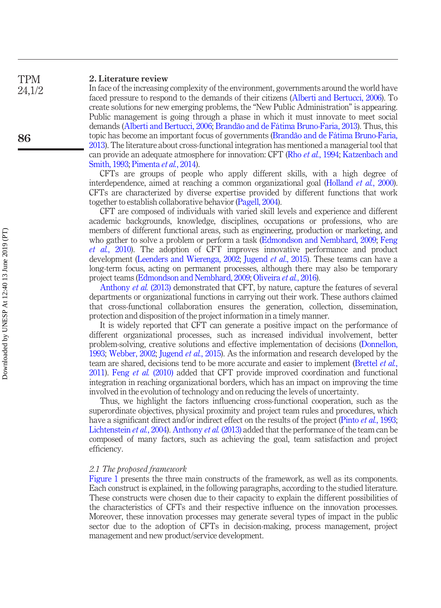#### 2. Literature review TPM

24,1/2

86

In face of the increasing complexity of the environment, governments around the world have faced pressure to respond to the demands of their citizens ([Alberti and Bertucci, 2006](#page-18-5)). To create solutions for new emerging problems, the "New Public Administration" is appearing. Public management is going through a phase in which it must innovate to meet social demands ([Alberti and Bertucci, 2006](#page-18-5); [Brandão and de Fátima Bruno-Faria, 2013](#page-18-6)). Thus, this topic has become an important focus of governments [\(Brandão and de Fátima Bruno-Faria,](#page-18-6) [2013](#page-18-6)). The literature about cross-functional integration has mentioned a managerial tool that can provide an adequate atmosphere for innovation: CFT (Rho *et al.*[, 1994](#page-21-13); [Katzenbach and](#page-20-10) [Smith, 1993;](#page-20-10) [Pimenta](#page-20-2) et al., 2014).

CFTs are groups of people who apply different skills, with a high degree of interdependence, aimed at reaching a common organizational goal [\(Holland](#page-19-8) et al., 2000). CFTs are characterized by diverse expertise provided by different functions that work together to establish collaborative behavior [\(Pagell, 2004](#page-20-11)).

CFT are composed of individuals with varied skill levels and experience and different academic backgrounds, knowledge, disciplines, occupations or professions, who are members of different functional areas, such as engineering, production or marketing, and who gather to solve a problem or perform a task ([Edmondson and Nembhard, 2009](#page-19-7); [Feng](#page-19-9) et al.[, 2010\)](#page-19-9). The adoption of CFT improves innovative performance and product development ([Leenders and Wierenga, 2002;](#page-20-12) [Jugend](#page-19-10) *et al.*, 2015). These teams can have a long-term focus, acting on permanent processes, although there may also be temporary project teams [\(Edmondson and Nembhard, 2009;](#page-19-7) [Oliveira](#page-20-13) et al., 2016).

[Anthony](#page-18-7) et al. (2013) demonstrated that CFT, by nature, capture the features of several departments or organizational functions in carrying out their work. These authors claimed that cross-functional collaboration ensures the generation, collection, dissemination, protection and disposition of the project information in a timely manner.

It is widely reported that CFT can generate a positive impact on the performance of different organizational processes, such as increased individual involvement, better problem-solving, creative solutions and effective implementation of decisions [\(Donnellon,](#page-19-11) [1993](#page-19-11); [Webber, 2002;](#page-21-14) [Jugend](#page-19-10) et al., 2015). As the information and research developed by the team are shared, decisions tend to be more accurate and easier to implement [\(Brettel](#page-18-8) *et al.*, [2011](#page-18-8)). Feng et al. [\(2010\)](#page-19-9) added that CFT provide improved coordination and functional integration in reaching organizational borders, which has an impact on improving the time involved in the evolution of technology and on reducing the levels of uncertainty.

Thus, we highlight the factors influencing cross-functional cooperation, such as the superordinate objectives, physical proximity and project team rules and procedures, which have a significant direct and/or indirect effect on the results of the project (Pinto *et al.*[, 1993;](#page-21-2) [Lichtenstein](#page-20-14) *et al.*, 2004). [Anthony](#page-18-7) *et al.* (2013) added that the performance of the team can be composed of many factors, such as achieving the goal, team satisfaction and project efficiency.

#### 2.1 The proposed framework

[Figure 1](#page-4-0) presents the three main constructs of the framework, as well as its components. Each construct is explained, in the following paragraphs, according to the studied literature. These constructs were chosen due to their capacity to explain the different possibilities of the characteristics of CFTs and their respective influence on the innovation processes. Moreover, these innovation processes may generate several types of impact in the public sector due to the adoption of CFTs in decision-making, process management, project management and new product/service development.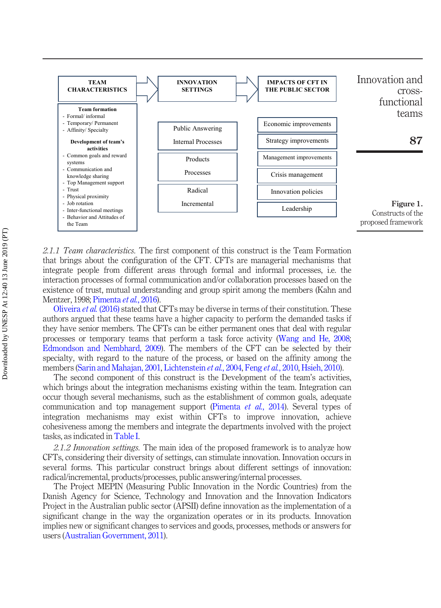

<span id="page-4-0"></span>2.1.1 Team characteristics. The first component of this construct is the Team Formation that brings about the configuration of the CFT. CFTs are managerial mechanisms that integrate people from different areas through formal and informal processes, i.e. the interaction processes of formal communication and/or collaboration processes based on the existence of trust, mutual understanding and group spirit among the members (Kahn and Mentzer, 1998; [Pimenta](#page-20-15) et al., 2016).

[Oliveira](#page-20-13) et al. (2016) stated that CFTs may be diverse in terms of their constitution. These authors argued that these teams have a higher capacity to perform the demanded tasks if they have senior members. The CFTs can be either permanent ones that deal with regular processes or temporary teams that perform a task force activity ([Wang and He, 2008](#page-21-15); [Edmondson and Nembhard, 2009](#page-19-7)). The members of the CFT can be selected by their specialty, with regard to the nature of the process, or based on the affinity among the members [\(Sarin and Mahajan, 2001,](#page-21-16) [Lichtenstein](#page-20-14) et al., 2004, Feng et al.[, 2010,](#page-19-9) [Hsieh, 2010](#page-19-10)).

The second component of this construct is the Development of the team's activities, which brings about the integration mechanisms existing within the team. Integration can occur though several mechanisms, such as the establishment of common goals, adequate communication and top management support ([Pimenta](#page-20-2) *et al.*, 2014). Several types of integration mechanisms may exist within CFTs to improve innovation, achieve cohesiveness among the members and integrate the departments involved with the project tasks, as indicated in [Table I.](#page-5-0)

2.1.2 *Innovation settings*. The main idea of the proposed framework is to analyze how CFTs, considering their diversity of settings, can stimulate innovation. Innovation occurs in several forms. This particular construct brings about different settings of innovation: radical/incremental, products/processes, public answering/internal processes.

The Project MEPIN (Measuring Public Innovation in the Nordic Countries) from the Danish Agency for Science, Technology and Innovation and the Innovation Indicators Project in the Australian public sector (APSII) define innovation as the implementation of a significant change in the way the organization operates or in its products. Innovation implies new or significant changes to services and goods, processes, methods or answers for users [\(Australian Government, 2011](#page-18-2)).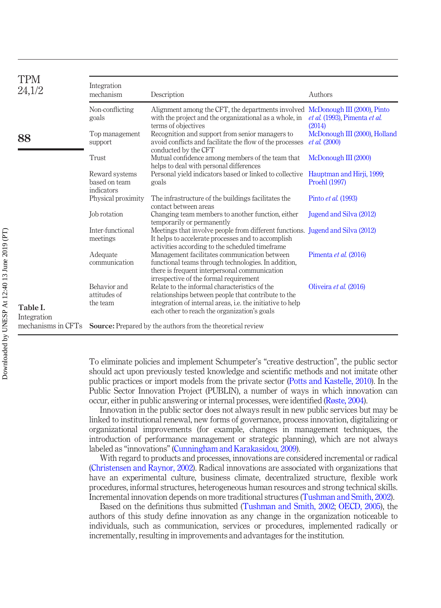| <b>TPM</b><br>24,1/2    | Integration<br>mechanism                      | Description                                                                                                                                                                                                               | Authors                                               |
|-------------------------|-----------------------------------------------|---------------------------------------------------------------------------------------------------------------------------------------------------------------------------------------------------------------------------|-------------------------------------------------------|
|                         | Non-conflicting<br>goals                      | Alignment among the CFT, the departments involved McDonough III (2000), Pinto<br>with the project and the organizational as a whole, in<br>terms of objectives                                                            | et al. (1993), Pimenta et al.<br>(2014)               |
| 88                      | Top management<br>support                     | Recognition and support from senior managers to<br>avoid conflicts and facilitate the flow of the processes<br>conducted by the CFT                                                                                       | McDonough III (2000), Holland<br><i>et al.</i> (2000) |
|                         | Trust                                         | Mutual confidence among members of the team that<br>helps to deal with personal differences                                                                                                                               | McDonough III (2000)                                  |
|                         | Reward systems<br>based on team<br>indicators | Personal yield indicators based or linked to collective Hauptman and Hirji, 1999;<br>goals                                                                                                                                | Proehl (1997)                                         |
|                         | Physical proximity                            | The infrastructure of the buildings facilitates the<br>contact between areas                                                                                                                                              | Pinto et al. (1993)                                   |
|                         | Job rotation                                  | Changing team members to another function, either<br>temporarily or permanently                                                                                                                                           | Jugend and Silva (2012)                               |
|                         | Inter-functional<br>meetings                  | Meetings that involve people from different functions. Jugend and Silva (2012)<br>It helps to accelerate processes and to accomplish<br>activities according to the scheduled timeframe                                   |                                                       |
|                         | Adequate<br>communication                     | Management facilitates communication between<br>functional teams through technologies. In addition,<br>there is frequent interpersonal communication<br>irrespective of the formal requirement                            | Pimenta et al. (2016)                                 |
| Table I.<br>Integration | Behavior and<br>attitudes of<br>the team      | Relate to the informal characteristics of the<br>relationships between people that contribute to the<br>integration of internal areas, <i>i.e.</i> the initiative to help<br>each other to reach the organization's goals | Oliveira et al. (2016)                                |
| mechanisms in CFTs      |                                               | <b>Source:</b> Prepared by the authors from the theoretical review                                                                                                                                                        |                                                       |

<span id="page-5-0"></span>To eliminate policies and implement Schumpeter's "creative destruction", the public sector should act upon previously tested knowledge and scientific methods and not imitate other public practices or import models from the private sector ([Potts and Kastelle, 2010\)](#page-21-6). In the Public Sector Innovation Project (PUBLIN), a number of ways in which innovation can occur, either in public answering or internal processes, were identified ([Røste, 2004](#page-21-8)).

Innovation in the public sector does not always result in new public services but may be linked to institutional renewal, new forms of governance, process innovation, digitalizing or organizational improvements (for example, changes in management techniques, the introduction of performance management or strategic planning), which are not always labeled as "innovations" ([Cunningham and Karakasidou, 2009\)](#page-19-1).

With regard to products and processes, innovations are considered incremental or radical [\(Christensen and Raynor, 2002\)](#page-18-9). Radical innovations are associated with organizations that have an experimental culture, business climate, decentralized structure, flexible work procedures, informal structures, heterogeneous human resources and strong technical skills. Incremental innovation depends on more traditional structures [\(Tushman and Smith, 2002](#page-21-4)).

Based on the definitions thus submitted ([Tushman and Smith, 2002](#page-21-4); [OECD, 2005\)](#page-20-4), the authors of this study define innovation as any change in the organization noticeable to individuals, such as communication, services or procedures, implemented radically or incrementally, resulting in improvements and advantages for the institution.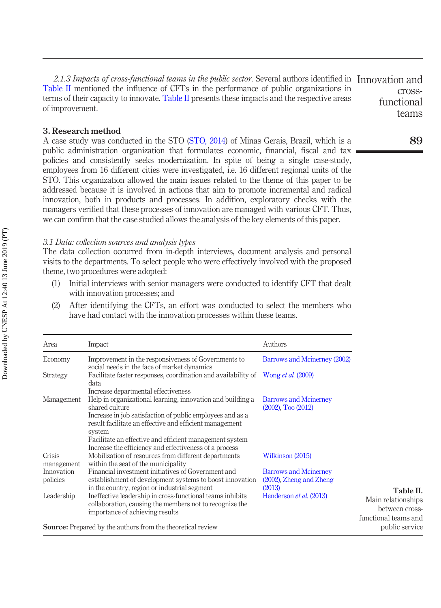#### 2.1.3 Impacts of cross-functional teams in the public sector. Several authors identified in Innovation and [Table II](#page-6-0) mentioned the influence of CFTs in the performance of public organizations in terms of their capacity to innovate. [Table II](#page-6-0) presents these impacts and the respective areas of improvement.

#### 3. Research method

A case study was conducted in the STO ([STO, 2014](#page-21-18)) of Minas Gerais, Brazil, which is a public administration organization that formulates economic, financial, fiscal and tax policies and consistently seeks modernization. In spite of being a single case-study, employees from 16 different cities were investigated, i.e. 16 different regional units of the STO. This organization allowed the main issues related to the theme of this paper to be addressed because it is involved in actions that aim to promote incremental and radical innovation, both in products and processes. In addition, exploratory checks with the managers verified that these processes of innovation are managed with various CFT. Thus, we can confirm that the case studied allows the analysis of the key elements of this paper.

#### 3.1 Data: collection sources and analysis types

The data collection occurred from in-depth interviews, document analysis and personal visits to the departments. To select people who were effectively involved with the proposed theme, two procedures were adopted:

- (1) Initial interviews with senior managers were conducted to identify CFT that dealt with innovation processes; and
- (2) After identifying the CFTs, an effort was conducted to select the members who have had contact with the innovation processes within these teams.

<span id="page-6-0"></span>

| Area                   | Impact                                                                                                                                                                                                                                                | Authors                                                              |                                                                           |
|------------------------|-------------------------------------------------------------------------------------------------------------------------------------------------------------------------------------------------------------------------------------------------------|----------------------------------------------------------------------|---------------------------------------------------------------------------|
| Economy                | Improvement in the responsiveness of Governments to<br>social needs in the face of market dynamics                                                                                                                                                    | Barrows and Mcinerney (2002)                                         |                                                                           |
| Strategy               | Facilitate faster responses, coordination and availability of Wong et al. (2009)<br>data                                                                                                                                                              |                                                                      |                                                                           |
| Management             | Increase departmental effectiveness<br>Help in organizational learning, innovation and building a<br>shared culture<br>Increase in job satisfaction of public employees and as a<br>result facilitate an effective and efficient management<br>system | <b>Barrows and Mcinerney</b><br>$(2002)$ , Too $(2012)$              |                                                                           |
| Crisis<br>management   | Facilitate an effective and efficient management system<br>Increase the efficiency and effectiveness of a process<br>Mobilization of resources from different departments<br>within the seat of the municipality                                      | Wilkinson (2015)                                                     |                                                                           |
| Innovation<br>policies | Financial investment initiatives of Government and<br>establishment of development systems to boost innovation<br>in the country, region or industrial segment                                                                                        | <b>Barrows and Mcinerney</b><br>$(2002)$ , Zheng and Zheng<br>(2013) |                                                                           |
| Leadership             | Ineffective leadership in cross-functional teams inhibits<br>collaboration, causing the members not to recognize the<br>importance of achieving results                                                                                               | Henderson et al. (2013)                                              | Table II.<br>Main relationships<br>between cross-<br>functional teams and |
|                        | <b>Source:</b> Prepared by the authors from the theoretical review                                                                                                                                                                                    |                                                                      | public service                                                            |

crossfunctional teams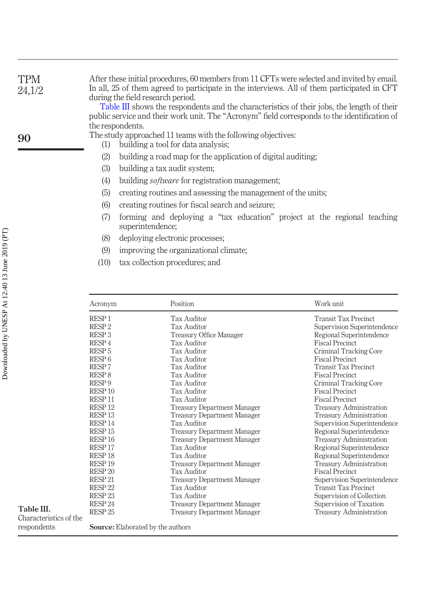| <b>TPM</b><br>24,1/2 |                                        | After these initial procedures, 60 members from 11 CFTs were selected and invited by email.<br>In all, 25 of them agreed to participate in the interviews. All of them participated in CFT<br>during the field research period.<br>Table III shows the respondents and the characteristics of their jobs, the length of their<br>public service and their work unit. The "Acronym" field corresponds to the identification of<br>the respondents. |                                                         |  |  |  |  |  |
|----------------------|----------------------------------------|---------------------------------------------------------------------------------------------------------------------------------------------------------------------------------------------------------------------------------------------------------------------------------------------------------------------------------------------------------------------------------------------------------------------------------------------------|---------------------------------------------------------|--|--|--|--|--|
| 90                   | (1)                                    | The study approached 11 teams with the following objectives:<br>building a tool for data analysis;                                                                                                                                                                                                                                                                                                                                                |                                                         |  |  |  |  |  |
|                      | (2)                                    | building a road map for the application of digital auditing;                                                                                                                                                                                                                                                                                                                                                                                      |                                                         |  |  |  |  |  |
|                      | (3)                                    | building a tax audit system;                                                                                                                                                                                                                                                                                                                                                                                                                      |                                                         |  |  |  |  |  |
|                      | (4)                                    | building <i>software</i> for registration management;                                                                                                                                                                                                                                                                                                                                                                                             |                                                         |  |  |  |  |  |
|                      | (5)                                    | creating routines and assessing the management of the units;                                                                                                                                                                                                                                                                                                                                                                                      |                                                         |  |  |  |  |  |
|                      | (6)                                    | creating routines for fiscal search and seizure;                                                                                                                                                                                                                                                                                                                                                                                                  |                                                         |  |  |  |  |  |
|                      | (7)                                    | forming and deploying a "tax education" project at the regional teaching<br>superintendence;                                                                                                                                                                                                                                                                                                                                                      |                                                         |  |  |  |  |  |
|                      | (8)                                    | deploying electronic processes;                                                                                                                                                                                                                                                                                                                                                                                                                   |                                                         |  |  |  |  |  |
|                      | (9)                                    | improving the organizational climate;                                                                                                                                                                                                                                                                                                                                                                                                             |                                                         |  |  |  |  |  |
|                      | (10)                                   | tax collection procedures; and                                                                                                                                                                                                                                                                                                                                                                                                                    |                                                         |  |  |  |  |  |
|                      | Acronym                                | Position                                                                                                                                                                                                                                                                                                                                                                                                                                          | Work unit                                               |  |  |  |  |  |
|                      | RESP <sub>1</sub>                      | Tax Auditor                                                                                                                                                                                                                                                                                                                                                                                                                                       | <b>Transit Tax Precinct</b>                             |  |  |  |  |  |
|                      | RESP <sub>2</sub><br>RESP <sub>3</sub> | Tax Auditor<br><b>Treasury Office Manager</b>                                                                                                                                                                                                                                                                                                                                                                                                     | Supervision Superintendence<br>Regional Superintendence |  |  |  |  |  |
|                      | RESP 4                                 | Tax Auditor                                                                                                                                                                                                                                                                                                                                                                                                                                       | <b>Fiscal Precinct</b>                                  |  |  |  |  |  |
|                      | RESP <sub>5</sub>                      | <b>Tax Auditor</b>                                                                                                                                                                                                                                                                                                                                                                                                                                | Criminal Tracking Core                                  |  |  |  |  |  |
|                      | RESP <sub>6</sub>                      | <b>Tax Auditor</b>                                                                                                                                                                                                                                                                                                                                                                                                                                | <b>Fiscal Precinct</b>                                  |  |  |  |  |  |
|                      | RESP <sub>7</sub><br><b>RESP8</b>      | <b>Tax Auditor</b><br><b>Tax Auditor</b>                                                                                                                                                                                                                                                                                                                                                                                                          | <b>Transit Tax Precinct</b><br><b>Fiscal Precinct</b>   |  |  |  |  |  |
|                      | DECD 0                                 | $T_{\text{max}}$ A $\alpha$ and $\alpha$ and $\alpha$<br>$C_{\rm{min}}$ inal Timalina $C_{\rm{max}}$                                                                                                                                                                                                                                                                                                                                              |                                                         |  |  |  |  |  |

Table III. Characteristics of the RESP 9 Tax Auditor Tax Auditor Criminal Tracking Core<br>
RESP 10 Tax Auditor Tax Criminal Tracking Core RESP 10 Tax Auditor Tax Auditor Fiscal Precinct RESP 11 Tax Auditor Fiscal Precinct RESP 11 RESP 11 Tax Auditor<br>RESP 12 Treasury Department Manager Treasury Administration RESP 12 Treasury Department Manager Treasury Administration<br>RESP 13 Treasury Department Manager Treasury Administration Treasury Department Manager RESP 14 Tax Auditor Tax Auditor Supervision Superintendence RESP 15 Treasury Department Manager Regional Superintendence<br>RESP 16 Treasury Department Manager Treasury Administration RESP 16 Treasury Department Manager Treasury Administration<br>RESP 17 Tax Auditor Tax Auditor Regional Superintendence RESP 17 Tax Auditor Tax Auditor RESP 18 Tax Auditor RESP 18 Tax Auditor RESP 18 Tax Auditor RESP 18 Tax Auditor RESP 18 Tax Auditor (RESP 19 Treasury Department Manager (RESP 19 Treasury Administration RESP 19 Treasury Department Manager<br>RESP 20 Tax Auditor RESP 20 Tax Auditor Treasury Department Manager Fiscal Precinct RESP 21 Treasury Department Manager Supervision Su RESP 21 Treasury Department Manager Supervision Superintendence<br>RESP 22 Tax Auditor Transit Tax Precinct RESP 22 Tax Auditor Tax Cases Tax Auditor Transit Tax Precinct RESP 23 Tax Auditor Tax Auditor Tax Precinct Tax Precinct Tax Precinct Tax Precinct Tax Precinct Tax Auditor Tax Auditor Tax Auditor Tax Auditor Tax Auditor Ta RESP 23 Tax Auditor Tax Auditor Supervision of Collection<br>RESP 24 Treasury Department Manager Supervision of Taxation RESP 24 Treasury Department Manager Supervision of Taxation<br>RESP 25 Treasury Department Manager Treasury Administration Treasury Department Manager

<span id="page-7-0"></span>respondents

Source: Elaborated by the authors

Downloaded by UNESP At 12:40 13 June 2019 (PT) Downloaded by UNESP At 12:40 13 June 2019 (PT)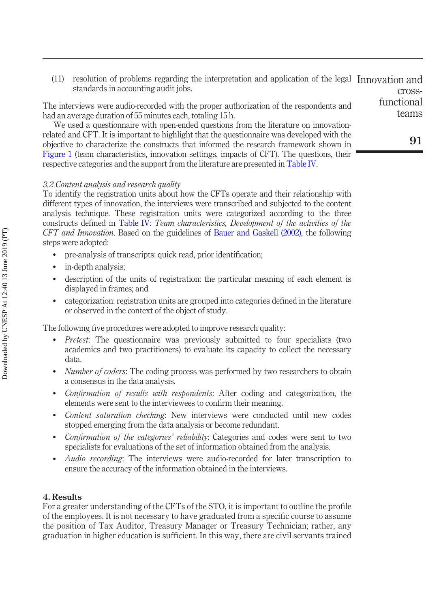(11) resolution of problems regarding the interpretation and application of the legal Innovation and standards in accounting audit jobs. cross-

The interviews were audio-recorded with the proper authorization of the respondents and had an average duration of 55 minutes each, totaling 15 h.

We used a questionnaire with open-ended questions from the literature on innovationrelated and CFT. It is important to highlight that the questionnaire was developed with the objective to characterize the constructs that informed the research framework shown in [Figure 1](#page-4-0) (team characteristics, innovation settings, impacts of CFT). The questions, their respective categories and the support from the literature are presented in [Table IV.](#page-9-0)

#### 3.2 Content analysis and research quality

To identify the registration units about how the CFTs operate and their relationship with different types of innovation, the interviews were transcribed and subjected to the content analysis technique. These registration units were categorized according to the three constructs defined in [Table IV:](#page-9-0) Team characteristics, Development of the activities of the CFT and Innovation. Based on the guidelines of [Bauer and Gaskell \(2002\),](#page-18-10) the following steps were adopted:

- pre-analysis of transcripts: quick read, prior identification;
- in-depth analysis;
- description of the units of registration: the particular meaning of each element is displayed in frames; and
- categorization: registration units are grouped into categories defined in the literature or observed in the context of the object of study.

The following five procedures were adopted to improve research quality:

- Pretest: The questionnaire was previously submitted to four specialists (two academics and two practitioners) to evaluate its capacity to collect the necessary data.
- Number of coders: The coding process was performed by two researchers to obtain a consensus in the data analysis.
- Confirmation of results with respondents: After coding and categorization, the elements were sent to the interviewees to confirm their meaning.
- Content saturation checking: New interviews were conducted until new codes stopped emerging from the data analysis or become redundant.
- Confirmation of the categories' reliability: Categories and codes were sent to two specialists for evaluations of the set of information obtained from the analysis.
- Audio recording: The interviews were audio-recorded for later transcription to ensure the accuracy of the information obtained in the interviews.

#### 4. Results

For a greater understanding of the CFTs of the STO, it is important to outline the profile of the employees. It is not necessary to have graduated from a specific course to assume the position of Tax Auditor, Treasury Manager or Treasury Technician; rather, any graduation in higher education is sufficient. In this way, there are civil servants trained 91

functional teams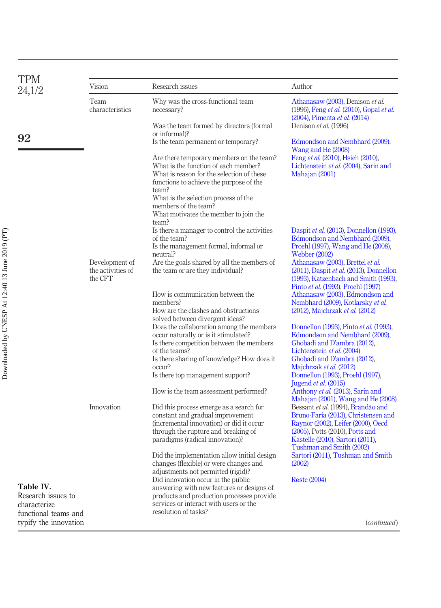<span id="page-9-0"></span>

| <b>TPM</b><br>24,1/2                                                    | Vision                                         | Research issues                                                                                                                                                                                                                                                                                     | Author                                                                                                                                                                                                                                                                  |
|-------------------------------------------------------------------------|------------------------------------------------|-----------------------------------------------------------------------------------------------------------------------------------------------------------------------------------------------------------------------------------------------------------------------------------------------------|-------------------------------------------------------------------------------------------------------------------------------------------------------------------------------------------------------------------------------------------------------------------------|
|                                                                         | Team<br>characteristics                        | Why was the cross-functional team<br>necessary?                                                                                                                                                                                                                                                     | Athanasaw (2003), Denison et al.<br>(1996), Feng et al. (2010), Gopal et al.                                                                                                                                                                                            |
| 92                                                                      |                                                | Was the team formed by directors (formal<br>or informal)?                                                                                                                                                                                                                                           | (2004), Pimenta et al. (2014)<br>Denison et al. (1996)                                                                                                                                                                                                                  |
|                                                                         |                                                | Is the team permanent or temporary?                                                                                                                                                                                                                                                                 | Edmondson and Nembhard (2009),<br>Wang and He (2008)                                                                                                                                                                                                                    |
|                                                                         |                                                | Are there temporary members on the team?<br>What is the function of each member?<br>What is reason for the selection of these<br>functions to achieve the purpose of the<br>team?<br>What is the selection process of the<br>members of the team?<br>What motivates the member to join the<br>team? | Feng et al. (2010), Hsieh (2010),<br>Lichtenstein et al. (2004), Sarin and<br>Mahajan (2001)                                                                                                                                                                            |
|                                                                         |                                                | Is there a manager to control the activities<br>of the team?                                                                                                                                                                                                                                        | Daspit et al. (2013), Donnellon (1993),<br>Edmondson and Nembhard (2009),                                                                                                                                                                                               |
|                                                                         |                                                | Is the management formal, informal or<br>neutral?                                                                                                                                                                                                                                                   | Proehl (1997), Wang and He (2008),<br><b>Webber (2002)</b>                                                                                                                                                                                                              |
|                                                                         | Development of<br>the activities of<br>the CFT | Are the goals shared by all the members of<br>the team or are they individual?                                                                                                                                                                                                                      | Athanasaw (2003), Brettel et al.<br>$(2011)$ , Daspit <i>et al.</i> $(2013)$ , Donnellon<br>(1993), Katzenbach and Smith (1993),<br>Pinto et al. (1993), Proehl (1997)                                                                                                  |
|                                                                         |                                                | How is communication between the<br>members?<br>How are the clashes and obstructions                                                                                                                                                                                                                | Athanasaw (2003), Edmondson and<br>Nembhard (2009), Kotlarsky et al.<br>$(2012)$ , Majchrzak <i>et al.</i> $(2012)$                                                                                                                                                     |
|                                                                         |                                                | solved between divergent ideas?<br>Does the collaboration among the members<br>occur naturally or is it stimulated?<br>Is there competition between the members<br>of the teams?<br>Is there sharing of knowledge? How does it<br>occur?                                                            | Donnellon (1993), Pinto <i>et al.</i> (1993),<br>Edmondson and Nembhard (2009),<br>Ghobadi and D'ambra (2012),<br>Lichtenstein et al. (2004)<br>Ghobadi and D'ambra (2012),<br>Majchrzak et al. (2012)                                                                  |
|                                                                         |                                                | Is there top management support?                                                                                                                                                                                                                                                                    | Donnellon (1993), Proehl (1997),<br>Jugend et al. (2015)                                                                                                                                                                                                                |
|                                                                         |                                                | How is the team assessment performed?                                                                                                                                                                                                                                                               | Anthony et al. (2013), Sarin and<br>Mahajan (2001), Wang and He (2008)                                                                                                                                                                                                  |
|                                                                         | Innovation                                     | Did this process emerge as a search for<br>constant and gradual improvement<br>(incremental innovation) or did it occur<br>through the rupture and breaking of<br>paradigms (radical innovation)?<br>Did the implementation allow initial design<br>changes (flexible) or were changes and          | Bessant et al. (1994), Brandão and<br>Bruno-Faria (2013), Christensen and<br>Raynor (2002), Leifer (2000), Oecd<br>$(2005)$ , Potts $(2010)$ , Potts and<br>Kastelle (2010), Sartori (2011),<br>Tushman and Smith (2002)<br>Sartori (2011), Tushman and Smith<br>(2002) |
|                                                                         |                                                | adjustments not permitted (rigid)?<br>Did innovation occur in the public                                                                                                                                                                                                                            | Røste (2004)                                                                                                                                                                                                                                                            |
| Table IV.<br>Research issues to<br>characterize<br>functional teams and |                                                | answering with new features or designs of<br>products and production processes provide<br>services or interact with users or the<br>resolution of tasks?                                                                                                                                            |                                                                                                                                                                                                                                                                         |
| typify the innovation                                                   |                                                |                                                                                                                                                                                                                                                                                                     | ( <i>continued</i> )                                                                                                                                                                                                                                                    |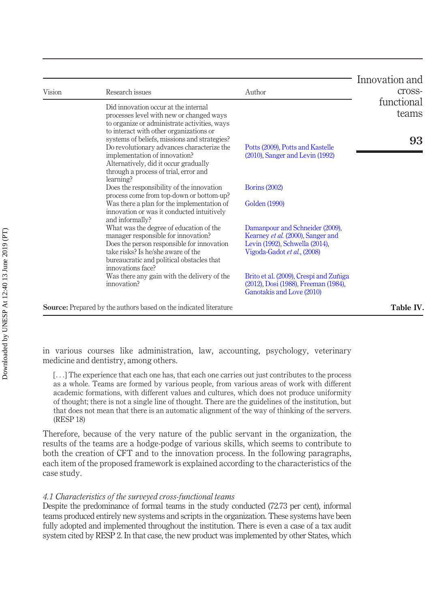| Vision | Research issues                                                                                                                                                                                                                                                       | Author                                                                                                                                | Innovation and<br>cross- |
|--------|-----------------------------------------------------------------------------------------------------------------------------------------------------------------------------------------------------------------------------------------------------------------------|---------------------------------------------------------------------------------------------------------------------------------------|--------------------------|
|        | Did innovation occur at the internal<br>processes level with new or changed ways<br>to organize or administrate activities, ways                                                                                                                                      |                                                                                                                                       | functional<br>teams      |
|        | to interact with other organizations or<br>systems of beliefs, missions and strategies?<br>Do revolutionary advances characterize the<br>implementation of innovation?<br>Alternatively, did it occur gradually<br>through a process of trial, error and<br>learning? | Potts (2009), Potts and Kastelle<br>(2010), Sanger and Levin (1992)                                                                   | 93                       |
|        | Does the responsibility of the innovation                                                                                                                                                                                                                             | <b>Borins</b> (2002)                                                                                                                  |                          |
|        | process come from top-down or bottom-up?<br>Was there a plan for the implementation of<br>innovation or was it conducted intuitively<br>and informally?                                                                                                               | Golden (1990)                                                                                                                         |                          |
|        | What was the degree of education of the<br>manager responsible for innovation?<br>Does the person responsible for innovation<br>take risks? Is he/she aware of the<br>bureaucratic and political obstacles that<br>innovations face?                                  | Damanpour and Schneider (2009),<br>Kearney et al. (2000), Sanger and<br>Levin (1992), Schwella (2014),<br>Vigoda-Gadot et al., (2008) |                          |
|        | Was there any gain with the delivery of the<br>innovation?                                                                                                                                                                                                            | Brito et al. (2009), Crespi and Zuñiga<br>(2012), Dosi (1988), Freeman (1984),<br>Ganotakis and Love (2010)                           |                          |
|        | $\mathbf{n}$ at a t and the state of the state of $\mathbf{n}$                                                                                                                                                                                                        |                                                                                                                                       | $T$ 11 $T$               |

Source: Prepared by the authors based on the indicated literature Table IV.

in various courses like administration, law, accounting, psychology, veterinary medicine and dentistry, among others.

[...] The experience that each one has, that each one carries out just contributes to the process as a whole. Teams are formed by various people, from various areas of work with different academic formations, with different values and cultures, which does not produce uniformity of thought; there is not a single line of thought. There are the guidelines of the institution, but that does not mean that there is an automatic alignment of the way of thinking of the servers. (RESP 18)

Therefore, because of the very nature of the public servant in the organization, the results of the teams are a hodge-podge of various skills, which seems to contribute to both the creation of CFT and to the innovation process. In the following paragraphs, each item of the proposed framework is explained according to the characteristics of the case study.

#### 4.1 Characteristics of the surveyed cross-functional teams

Despite the predominance of formal teams in the study conducted (72.73 per cent), informal teams produced entirely new systems and scripts in the organization. These systems have been fully adopted and implemented throughout the institution. There is even a case of a tax audit system cited by RESP 2. In that case, the new product was implemented by other States, which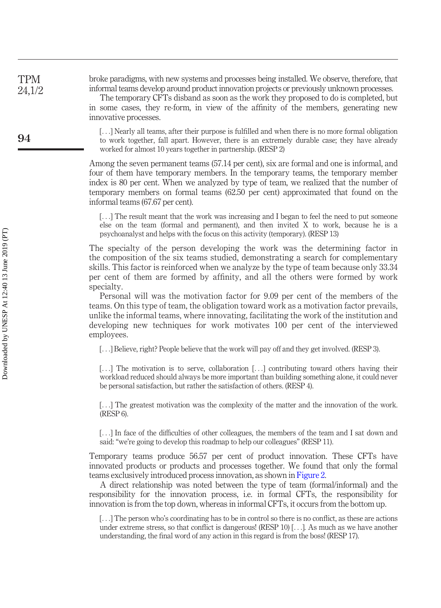broke paradigms, with new systems and processes being installed. We observe, therefore, that informal teams develop around product innovation projects or previously unknown processes. TPM 24,1/2

The temporary CFTs disband as soon as the work they proposed to do is completed, but in some cases, they re-form, in view of the affinity of the members, generating new innovative processes.

[...] Nearly all teams, after their purpose is fulfilled and when there is no more formal obligation to work together, fall apart. However, there is an extremely durable case; they have already worked for almost 10 years together in partnership. (RESP 2)

Among the seven permanent teams (57.14 per cent), six are formal and one is informal, and four of them have temporary members. In the temporary teams, the temporary member index is 80 per cent. When we analyzed by type of team, we realized that the number of temporary members on formal teams (62.50 per cent) approximated that found on the informal teams (67.67 per cent).

[...] The result meant that the work was increasing and I began to feel the need to put someone else on the team (formal and permanent), and then invited X to work, because he is a psychoanalyst and helps with the focus on this activity (temporary). (RESP 13)

The specialty of the person developing the work was the determining factor in the composition of the six teams studied, demonstrating a search for complementary skills. This factor is reinforced when we analyze by the type of team because only 33.34 per cent of them are formed by affinity, and all the others were formed by work specialty.

Personal will was the motivation factor for 9.09 per cent of the members of the teams. On this type of team, the obligation toward work as a motivation factor prevails, unlike the informal teams, where innovating, facilitating the work of the institution and developing new techniques for work motivates 100 per cent of the interviewed employees.

[...] Believe, right? People believe that the work will pay off and they get involved. (RESP 3).

[...] The motivation is to serve, collaboration [...] contributing toward others having their workload reduced should always be more important than building something alone, it could never be personal satisfaction, but rather the satisfaction of others. (RESP 4).

[...] The greatest motivation was the complexity of the matter and the innovation of the work. (RESP 6).

[...] In face of the difficulties of other colleagues, the members of the team and I sat down and said: "we're going to develop this roadmap to help our colleagues" (RESP 11).

Temporary teams produce 56.57 per cent of product innovation. These CFTs have innovated products or products and processes together. We found that only the formal teams exclusively introduced process innovation, as shown in [Figure 2](#page-12-0).

A direct relationship was noted between the type of team (formal/informal) and the responsibility for the innovation process, i.e. in formal CFTs, the responsibility for innovation is from the top down, whereas in informal CFTs, it occurs from the bottom up.

[...] The person who's coordinating has to be in control so there is no conflict, as these are actions under extreme stress, so that conflict is dangerous! (RESP 10) [...]. As much as we have another understanding, the final word of any action in this regard is from the boss! (RESP 17).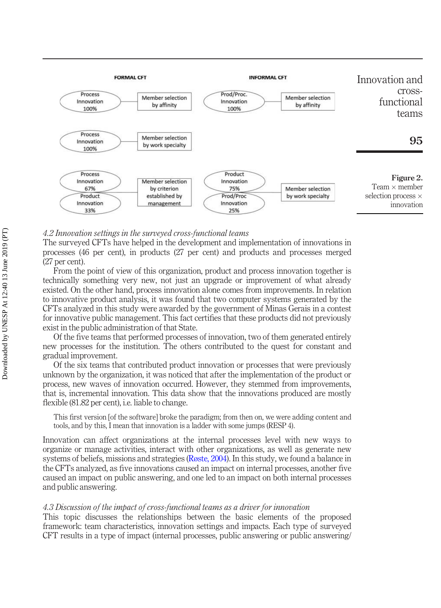

#### <span id="page-12-0"></span>4.2 Innovation settings in the surveyed cross-functional teams

The surveyed CFTs have helped in the development and implementation of innovations in processes (46 per cent), in products (27 per cent) and products and processes merged (27 per cent).

From the point of view of this organization, product and process innovation together is technically something very new, not just an upgrade or improvement of what already existed. On the other hand, process innovation alone comes from improvements. In relation to innovative product analysis, it was found that two computer systems generated by the CFTs analyzed in this study were awarded by the government of Minas Gerais in a contest for innovative public management. This fact certifies that these products did not previously exist in the public administration of that State.

Of the five teams that performed processes of innovation, two of them generated entirely new processes for the institution. The others contributed to the quest for constant and gradual improvement.

Of the six teams that contributed product innovation or processes that were previously unknown by the organization, it was noticed that after the implementation of the product or process, new waves of innovation occurred. However, they stemmed from improvements, that is, incremental innovation. This data show that the innovations produced are mostly flexible (81.82 per cent), i.e. liable to change.

This first version [of the software] broke the paradigm; from then on, we were adding content and tools, and by this, I mean that innovation is a ladder with some jumps (RESP 4).

Innovation can affect organizations at the internal processes level with new ways to organize or manage activities, interact with other organizations, as well as generate new systems of beliefs, missions and strategies [\(Røste, 2004\)](#page-21-8). In this study, we found a balance in the CFTs analyzed, as five innovations caused an impact on internal processes, another five caused an impact on public answering, and one led to an impact on both internal processes and public answering.

#### 4.3 Discussion of the impact of cross-functional teams as a driver for innovation

This topic discusses the relationships between the basic elements of the proposed framework: team characteristics, innovation settings and impacts. Each type of surveyed CFT results in a type of impact (internal processes, public answering or public answering/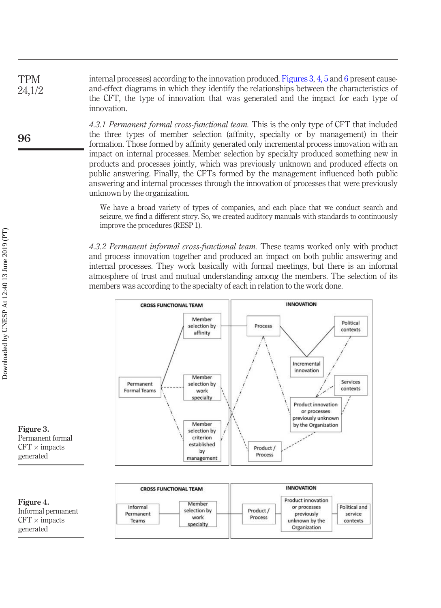internal processes) according to the innovation produced. [Figures 3,](#page-13-0) [4, 5](#page-13-1) and [6](#page-14-0) present causeand-effect diagrams in which they identify the relationships between the characteristics of the CFT, the type of innovation that was generated and the impact for each type of innovation. TPM 24,1/2

> 4.3.1 Permanent formal cross-functional team. This is the only type of CFT that included the three types of member selection (affinity, specialty or by management) in their formation. Those formed by affinity generated only incremental process innovation with an impact on internal processes. Member selection by specialty produced something new in products and processes jointly, which was previously unknown and produced effects on public answering. Finally, the CFTs formed by the management influenced both public answering and internal processes through the innovation of processes that were previously unknown by the organization.

We have a broad variety of types of companies, and each place that we conduct search and seizure, we find a different story. So, we created auditory manuals with standards to continuously improve the procedures (RESP 1).

4.3.2 Permanent informal cross-functional team. These teams worked only with product and process innovation together and produced an impact on both public answering and internal processes. They work basically with formal meetings, but there is an informal atmosphere of trust and mutual understanding among the members. The selection of its members was according to the specialty of each in relation to the work done.





<span id="page-13-0"></span>Figure 3. Permanent formal  $CFT \times$  impacts generated

<span id="page-13-1"></span>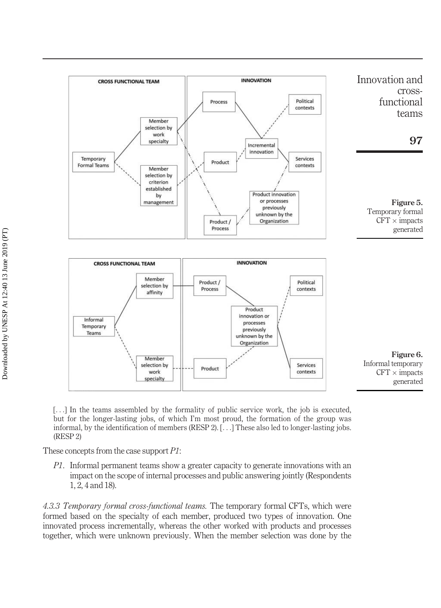

<span id="page-14-1"></span><span id="page-14-0"></span>

crossfunctional teams

97



[...] In the teams assembled by the formality of public service work, the job is executed, but for the longer-lasting jobs, of which I'm most proud, the formation of the group was informal, by the identification of members (RESP 2). [...] These also led to longer-lasting jobs. (RESP 2)

These concepts from the case support P1:

P1. Informal permanent teams show a greater capacity to generate innovations with an impact on the scope of internal processes and public answering jointly (Respondents 1, 2, 4 and 18).

4.3.3 Temporary formal cross-functional teams. The temporary formal CFTs, which were formed based on the specialty of each member, produced two types of innovation. One innovated process incrementally, whereas the other worked with products and processes together, which were unknown previously. When the member selection was done by the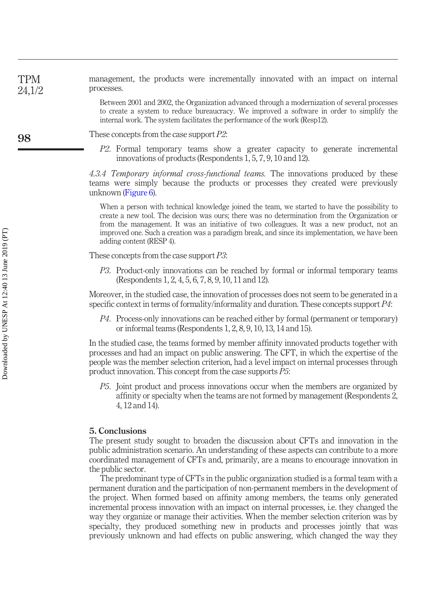| TPM    |            |  | management, the products were incrementally innovated with an impact on internal |  |  |  |
|--------|------------|--|----------------------------------------------------------------------------------|--|--|--|
| 24,1/2 | processes. |  |                                                                                  |  |  |  |

Between 2001 and 2002, the Organization advanced through a modernization of several processes to create a system to reduce bureaucracy. We improved a software in order to simplify the internal work. The system facilitates the performance of the work (Resp12).

#### These concepts from the case support P2:

P2. Formal temporary teams show a greater capacity to generate incremental innovations of products (Respondents 1, 5, 7, 9, 10 and 12).

4.3.4 Temporary informal cross-functional teams. The innovations produced by these teams were simply because the products or processes they created were previously unknown ([Figure 6](#page-14-0)).

When a person with technical knowledge joined the team, we started to have the possibility to create a new tool. The decision was ours; there was no determination from the Organization or from the management. It was an initiative of two colleagues. It was a new product, not an improved one. Such a creation was a paradigm break, and since its implementation, we have been adding content (RESP 4).

These concepts from the case support P3:

P3. Product-only innovations can be reached by formal or informal temporary teams (Respondents 1, 2, 4, 5, 6, 7, 8, 9, 10, 11 and 12).

Moreover, in the studied case, the innovation of processes does not seem to be generated in a specific context in terms of formality/informality and duration. These concepts support  $P4$ :

P4. Process-only innovations can be reached either by formal (permanent or temporary) or informal teams (Respondents 1, 2, 8, 9, 10, 13, 14 and 15).

In the studied case, the teams formed by member affinity innovated products together with processes and had an impact on public answering. The CFT, in which the expertise of the people was the member selection criterion, had a level impact on internal processes through product innovation. This concept from the case supports P5:

P5. Joint product and process innovations occur when the members are organized by affinity or specialty when the teams are not formed by management (Respondents 2, 4, 12 and 14).

#### 5. Conclusions

The present study sought to broaden the discussion about CFTs and innovation in the public administration scenario. An understanding of these aspects can contribute to a more coordinated management of CFTs and, primarily, are a means to encourage innovation in the public sector.

The predominant type of CFTs in the public organization studied is a formal team with a permanent duration and the participation of non-permanent members in the development of the project. When formed based on affinity among members, the teams only generated incremental process innovation with an impact on internal processes, i.e. they changed the way they organize or manage their activities. When the member selection criterion was by specialty, they produced something new in products and processes jointly that was previously unknown and had effects on public answering, which changed the way they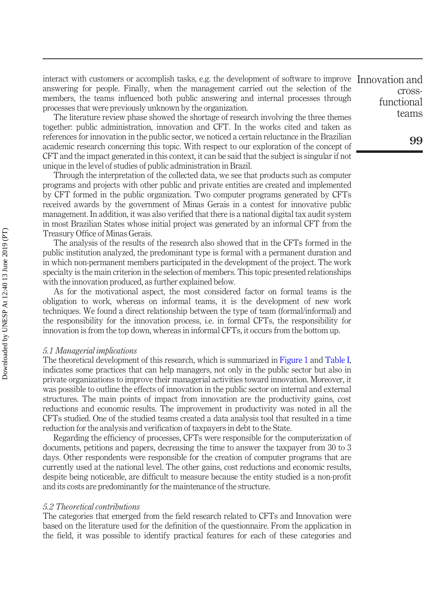interact with customers or accomplish tasks, e.g. the development of software to improve Innovation and answering for people. Finally, when the management carried out the selection of the members, the teams influenced both public answering and internal processes through processes that were previously unknown by the organization.

The literature review phase showed the shortage of research involving the three themes together: public administration, innovation and CFT. In the works cited and taken as references for innovation in the public sector, we noticed a certain reluctance in the Brazilian academic research concerning this topic. With respect to our exploration of the concept of CFT and the impact generated in this context, it can be said that the subject is singular if not unique in the level of studies of public administration in Brazil.

Through the interpretation of the collected data, we see that products such as computer programs and projects with other public and private entities are created and implemented by CFT formed in the public organization. Two computer programs generated by CFTs received awards by the government of Minas Gerais in a contest for innovative public management. In addition, it was also verified that there is a national digital tax audit system in most Brazilian States whose initial project was generated by an informal CFT from the Treasury Office of Minas Gerais.

The analysis of the results of the research also showed that in the CFTs formed in the public institution analyzed, the predominant type is formal with a permanent duration and in which non-permanent members participated in the development of the project. The work specialty is the main criterion in the selection of members. This topic presented relationships with the innovation produced, as further explained below.

As for the motivational aspect, the most considered factor on formal teams is the obligation to work, whereas on informal teams, it is the development of new work techniques. We found a direct relationship between the type of team (formal/informal) and the responsibility for the innovation process, i.e. in formal CFTs, the responsibility for innovation is from the top down, whereas in informal CFTs, it occurs from the bottom up.

#### 5.1 Managerial implications

The theoretical development of this research, which is summarized in [Figure 1](#page-4-0) and [Table I](#page-5-0), indicates some practices that can help managers, not only in the public sector but also in private organizations to improve their managerial activities toward innovation. Moreover, it was possible to outline the effects of innovation in the public sector on internal and external structures. The main points of impact from innovation are the productivity gains, cost reductions and economic results. The improvement in productivity was noted in all the CFTs studied. One of the studied teams created a data analysis tool that resulted in a time reduction for the analysis and verification of taxpayers in debt to the State.

Regarding the efficiency of processes, CFTs were responsible for the computerization of documents, petitions and papers, decreasing the time to answer the taxpayer from 30 to 3 days. Other respondents were responsible for the creation of computer programs that are currently used at the national level. The other gains, cost reductions and economic results, despite being noticeable, are difficult to measure because the entity studied is a non-profit and its costs are predominantly for the maintenance of the structure.

#### 5.2 Theoretical contributions

The categories that emerged from the field research related to CFTs and Innovation were based on the literature used for the definition of the questionnaire. From the application in the field, it was possible to identify practical features for each of these categories and

crossfunctional teams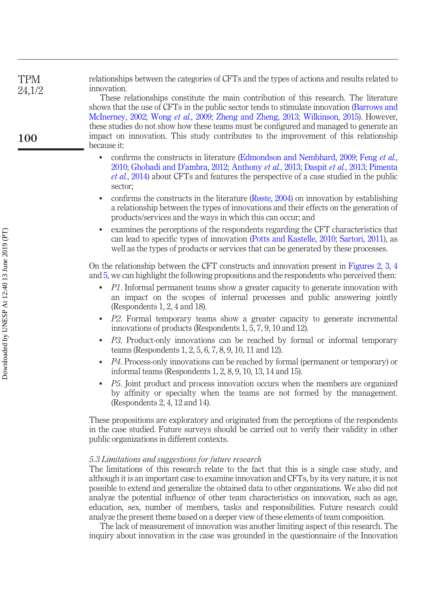relationships between the categories of CFTs and the types of actions and results related to innovation. TPM 24,1/2

These relationships constitute the main contribution of this research. The literature shows that the use of CFTs in the public sector tends to stimulate innovation [\(Barrows and](#page-18-4) [McInerney, 2002](#page-18-4); Wong et al.[, 2009;](#page-22-0) [Zheng and Zheng, 2013](#page-22-1); [Wilkinson, 2015](#page-21-12)). However, these studies do not show how these teams must be configured and managed to generate an impact on innovation. This study contributes to the improvement of this relationship because it:

- confirms the constructs in literature ([Edmondson and Nembhard, 2009;](#page-19-7) [Feng](#page-19-9) et al., [2010](#page-19-9); [Ghobadi and D](#page-19-12)'ambra, 2012; [Anthony](#page-18-7) et al., 2013; [Daspit](#page-19-18) et al., 2013; [Pimenta](#page-20-2) et al.[, 2014\)](#page-20-2) about CFTs and features the perspective of a case studied in the public sector;
- confirms the constructs in the literature ([Røste, 2004](#page-21-8)) on innovation by establishing a relationship between the types of innovations and their effects on the generation of products/services and the ways in which this can occur; and
- examines the perceptions of the respondents regarding the CFT characteristics that can lead to specific types of innovation [\(Potts and Kastelle, 2010](#page-21-6); [Sartori, 2011](#page-21-7)), as well as the types of products or services that can be generated by these processes.

On the relationship between the CFT constructs and innovation present in [Figures 2](#page-12-0), [3, 4](#page-13-0) and [5](#page-14-1), we can highlight the following propositions and the respondents who perceived them:

- P1. Informal permanent teams show a greater capacity to generate innovation with an impact on the scopes of internal processes and public answering jointly (Respondents 1, 2, 4 and 18).
- P2. Formal temporary teams show a greater capacity to generate incremental innovations of products (Respondents 1, 5, 7, 9, 10 and 12).
- P3. Product-only innovations can be reached by formal or informal temporary teams (Respondents 1, 2, 5, 6, 7, 8, 9, 10, 11 and 12).
- P4. Process-only innovations can be reached by formal (permanent or temporary) or informal teams (Respondents 1, 2, 8, 9, 10, 13, 14 and 15).
- P5. Joint product and process innovation occurs when the members are organized by affinity or specialty when the teams are not formed by the management. (Respondents 2, 4, 12 and 14).

These propositions are exploratory and originated from the perceptions of the respondents in the case studied. Future surveys should be carried out to verify their validity in other public organizations in different contexts.

#### 5.3 Limitations and suggestions for future research

The limitations of this research relate to the fact that this is a single case study, and although it is an important case to examine innovation and CFTs, by its very nature, it is not possible to extend and generalize the obtained data to other organizations. We also did not analyze the potential influence of other team characteristics on innovation, such as age, education, sex, number of members, tasks and responsibilities. Future research could analyze the present theme based on a deeper view of these elements of team composition.

The lack of measurement of innovation was another limiting aspect of this research. The inquiry about innovation in the case was grounded in the questionnaire of the Innovation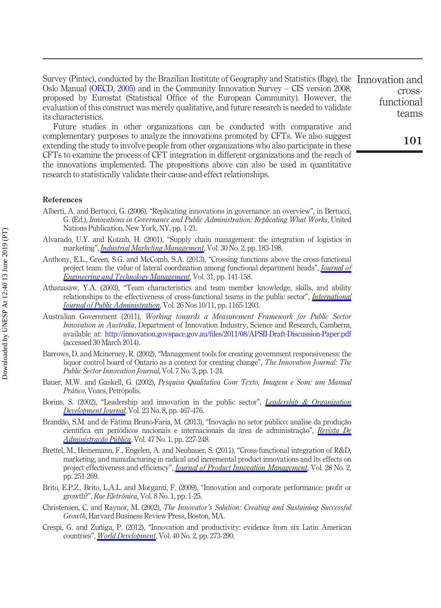Survey (Pintec), conducted by the Brazilian Institute of Geography and Statistics (Ibge), the Innovation and Oslo Manual [\(OECD, 2005](#page-20-4)) and in the Community Innovation Survey – CIS version 2008, proposed by Eurostat (Statistical Office of the European Community). However, the evaluation of this construct was merely qualitative, and future research is needed to validate its characteristics.

Future studies in other organizations can be conducted with comparative and complementary purposes to analyze the innovations promoted by CFTs. We also suggest extending the study to involve people from other organizations who also participate in these CFTs to examine the process of CFT integration in different organizations and the reach of the innovations implemented. The propositions above can also be used in quantitative research to statistically validate their cause-and-effect relationships.

#### References

- <span id="page-18-5"></span>Alberti, A. and Bertucci, G. (2006), "Replicating innovations in governance: an overview", in Bertucci, G. (Ed.), Innovations in Governance and Public Administration: Replicating What Works, United Nations Publication, New York, NY, pp. 1-21.
- <span id="page-18-3"></span>Alvarado, U.Y. and Kotzab, H. (2001), "Supply chain management: the integration of logistics in marketing", *[Industrial Marketing Management](https://www.emeraldinsight.com/action/showLinks?doi=10.1108%2FTPM-12-2016-0056&crossref=10.1016%2FS0019-8501%2800%2900142-5&isi=000166826100008&citationId=p_2)*, Vol. 30 No. 2, pp. 183-198.
- <span id="page-18-7"></span>Anthony, E.L., Green, S.G. and McComb, S.A. (2013), "Crossing functions above the cross-functional project team: the value of lateral coordination among functional department heads", *[Journal of](https://www.emeraldinsight.com/action/showLinks?doi=10.1108%2FTPM-12-2016-0056&crossref=10.1016%2Fj.jengtecman.2012.12.001&isi=000331426300009&citationId=p_3)* **[Engineering and Technology Management](https://www.emeraldinsight.com/action/showLinks?doi=10.1108%2FTPM-12-2016-0056&crossref=10.1016%2Fj.jengtecman.2012.12.001&isi=000331426300009&citationId=p_3), Vol. 31, pp. 141-158.**
- <span id="page-18-11"></span>Athanasaw, Y.A. (2003), "Team characteristics and team member knowledge, skills, and ability relationships to the effectiveness of cross-functional teams in the public sector", [International](https://www.emeraldinsight.com/action/showLinks?doi=10.1108%2FTPM-12-2016-0056&crossref=10.1081%2FPAD-120019926&citationId=p_4) [Journal of Public Administration](https://www.emeraldinsight.com/action/showLinks?doi=10.1108%2FTPM-12-2016-0056&crossref=10.1081%2FPAD-120019926&citationId=p_4), Vol. 26 Nos 10/11, pp. 1165-1203.
- <span id="page-18-2"></span>Australian Government (2011), Working towards a Measurement Framework for Public Sector Innovation in Australia, Department of Innovation Industry, Science and Research, Camberra, available at: http://innovation.govspace.gov.au/fi[les/2011/08/APSII-Draft-Discussion-Paper.pdf](http://innovation.govspace.gov.au/files/2011/08/APSII-Draft-Discussion-Paper.pdf) (accessed 30 March 2014).
- <span id="page-18-4"></span>Barrows, D. and Mcinerney, R. (2002), "Management tools for creating government responsiveness: the liquor control board of Ontario as a context for creating change", The Innovation Journal: The Public Sector Innovation Journal, Vol. 7 No. 3, pp. 1-24.
- <span id="page-18-10"></span>Bauer, M.W. and Gaskell, G. (2002), Pesquisa Qualitativa Com Texto, Imagem e Som: um Manual Prático, Vozes, Petrópolis.
- <span id="page-18-1"></span>Borins, S. (2002), "Leadership and innovation in the public sector", *[Leadership & Organization](https://www.emeraldinsight.com/action/showLinks?doi=10.1108%2FTPM-12-2016-0056&system=10.1108%2F01437730210449357&citationId=p_8)* [Development Journal](https://www.emeraldinsight.com/action/showLinks?doi=10.1108%2FTPM-12-2016-0056&system=10.1108%2F01437730210449357&citationId=p_8), Vol. 23 No. 8, pp. 467-476.
- <span id="page-18-6"></span>Brandão, S.M. and de Fátima Bruno-Faria, M. (2013), "Inovação no setor público: análise da produção científica em periódicos nacionais e internacionais da área de administração", [Revista De](https://www.emeraldinsight.com/action/showLinks?doi=10.1108%2FTPM-12-2016-0056&crossref=10.1590%2FS0034-76122013000100010&citationId=p_9) [Administração Pública](https://www.emeraldinsight.com/action/showLinks?doi=10.1108%2FTPM-12-2016-0056&crossref=10.1590%2FS0034-76122013000100010&citationId=p_9), Vol. 47 No. 1, pp. 227-248.
- <span id="page-18-8"></span>Brettel, M., Heinemann, F., Engelen, A. and Neubauer, S. (2011), "Cross-functional integration of R&D, marketing, and manufacturing in radical and incremental product innovations and its effects on project effectiveness and efficiency", *[Journal of Product Innovation Management](https://www.emeraldinsight.com/action/showLinks?doi=10.1108%2FTPM-12-2016-0056&crossref=10.1111%2Fj.1540-5885.2011.00795.x&isi=000287247200009&citationId=p_10)*, Vol. 28 No. 2, pp. 251-269.
- <span id="page-18-0"></span>Brito, E.P.Z., Brito, L.A.L. and Morganti, F. (2009), "Innovation and corporate performance: profit or growth?", Rae Eletrônica, Vol. 8 No. 1, pp. 1-25.
- <span id="page-18-9"></span>Christensen, C. and Raynor, M. (2002), The Innovator's Solution: Creating and Sustaining Successful Growth, Harvard Business Review Press, Boston, MA.
- <span id="page-18-12"></span>Crespi, G. and Zuñiga, P. (2012), "Innovation and productivity: evidence from six Latin American countries", [World Development](https://www.emeraldinsight.com/action/showLinks?doi=10.1108%2FTPM-12-2016-0056&crossref=10.1016%2Fj.worlddev.2011.07.010&isi=000298527100005&citationId=p_13), Vol. 40 No. 2, pp. 273-290.

crossfunctional teams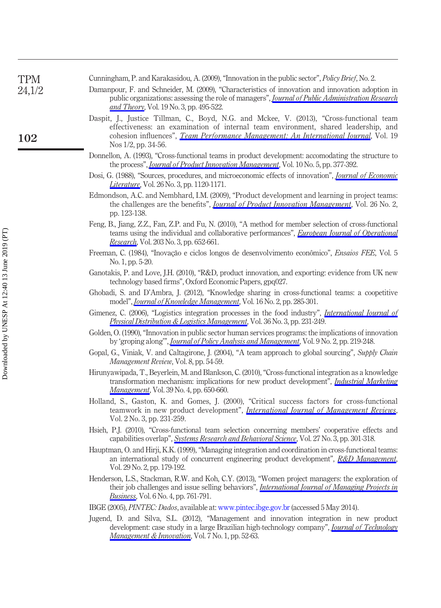<span id="page-19-18"></span><span id="page-19-17"></span><span id="page-19-11"></span><span id="page-19-9"></span><span id="page-19-7"></span><span id="page-19-4"></span><span id="page-19-2"></span><span id="page-19-1"></span><span id="page-19-0"></span>

| <b>TPM</b> | Cunningham, P. and Karakasidou, A. (2009), "Innovation in the public sector", <i>Policy Brief</i> , No. 2.                                                                                                                                                                                            |  |  |  |  |  |
|------------|-------------------------------------------------------------------------------------------------------------------------------------------------------------------------------------------------------------------------------------------------------------------------------------------------------|--|--|--|--|--|
| 24,1/2     | Damanpour, F. and Schneider, M. (2009), "Characteristics of innovation and innovation adoption in<br>public organizations: assessing the role of managers", <i>Journal of Public Administration Research</i><br><i>and Theory</i> , Vol. 19 No. 3, pp. 495-522.                                       |  |  |  |  |  |
| 102        | Daspit, J., Justice Tillman, C., Boyd, N.G. and Mckee, V. (2013), "Cross-functional team<br>effectiveness: an examination of internal team environment, shared leadership, and<br>cohesion influences", <i>Team Performance Management: An International Journal</i> , Vol. 19<br>Nos 1/2, pp. 34-56. |  |  |  |  |  |
|            | Donnellon, A. (1993), "Cross-functional teams in product development: accomodating the structure to<br>the process", <i>Journal of Product Innovation Management</i> , Vol. 10 No. 5, pp. 377-392.                                                                                                    |  |  |  |  |  |
|            | Dosi, G. (1988), "Sources, procedures, and microeconomic effects of innovation", <i>Journal of Economic</i><br><i>Literature</i> , Vol. 26 No. 3, pp. 1120-1171.                                                                                                                                      |  |  |  |  |  |
|            | Edmondson, A.C. and Nembhard, I.M. (2009), "Product development and learning in project teams:<br>the challenges are the benefits", <i>Journal of Product Innovation Management</i> , Vol. 26 No. 2,<br>pp. 123-138.                                                                                  |  |  |  |  |  |
|            | Feng, B., Jiang, Z.Z., Fan, Z.P. and Fu, N. (2010), "A method for member selection of cross-functional<br>teams using the individual and collaborative performances", <i>European Journal of Operational</i><br><i>Research</i> , Vol. 203 No. 3, pp. 652-661.                                        |  |  |  |  |  |
|            | Freeman, C. (1984), "Inovação e ciclos longos de desenvolvimento econômico", Ensaios FEE, Vol. 5<br>No. 1, pp. 5-20.                                                                                                                                                                                  |  |  |  |  |  |
|            | Ganotakis, P. and Love, J.H. (2010), "R&D, product innovation, and exporting: evidence from UK new<br>technology based firms", Oxford Economic Papers, gpq027.                                                                                                                                        |  |  |  |  |  |
|            | Ghobadi, S. and D'Ambra, J. (2012), "Knowledge sharing in cross-functional teams: a coopetitive<br>model", <i>Journal of Knowledge Management</i> , Vol. 16 No. 2, pp. 285-301.                                                                                                                       |  |  |  |  |  |
|            | Gimenez, C. (2006), "Logistics integration processes in the food industry", <i>International Journal of</i><br>Physical Distribution & Logistics Management, Vol. 36 No. 3, pp. 231-249.                                                                                                              |  |  |  |  |  |
|            | Golden, O. (1990), "Innovation in public sector human services programs: the implications of innovation<br>by 'groping along"", <i>Journal of Policy Analysis and Management</i> , Vol. 9 No. 2, pp. 219-248.                                                                                         |  |  |  |  |  |
|            | Gopal, G., Viniak, V. and Caltagirone, J. (2004), "A team approach to global sourcing", Supply Chain<br><i>Management Review, Vol. 8, pp. 54-59.</i>                                                                                                                                                  |  |  |  |  |  |
|            | Hirunyawipada, T., Beyerlein, M. and Blankson, C. (2010), "Cross-functional integration as a knowledge<br>transformation mechanism: implications for new product development", <i>Industrial Marketing</i><br><i>Management</i> , Vol. 39 No. 4, pp. 650-660.                                         |  |  |  |  |  |
|            | Holland, S., Gaston, K. and Gomes, J. (2000), "Critical success factors for cross-functional<br>teamwork in new product development", <i>International Journal of Management Reviews</i> ,<br>Vol. 2 No. 3, pp. 231-259.                                                                              |  |  |  |  |  |
|            | Hsieh, P.J. (2010), "Cross-functional team selection concerning members' cooperative effects and<br>capabilities overlap", Systems Research and Behavioral Science, Vol. 27 No. 3, pp. 301-318.                                                                                                       |  |  |  |  |  |
|            | Hauptman, O. and Hirji, K.K. (1999), "Managing integration and coordination in cross-functional teams:<br>an international study of concurrent engineering product development", R&D Management,<br>Vol. 29 No. 2, pp. 179-192.                                                                       |  |  |  |  |  |
|            | Henderson, L.S., Stackman, R.W. and Koh, C.Y. (2013), "Women project managers: the exploration of<br>their job challenges and issue selling behaviors", <i>International Journal of Managing Projects in</i><br><i>Business</i> , Vol. 6 No. 4, pp. 761-791.                                          |  |  |  |  |  |
|            | IBGE (2005), PINTEC: Dados, available at: www.pintec.ibge.gov.br (accessed 5 May 2014).                                                                                                                                                                                                               |  |  |  |  |  |

<span id="page-19-16"></span><span id="page-19-15"></span><span id="page-19-14"></span><span id="page-19-13"></span><span id="page-19-12"></span><span id="page-19-10"></span><span id="page-19-8"></span><span id="page-19-6"></span><span id="page-19-5"></span><span id="page-19-3"></span>Jugend, D. and Silva, S.L. (2012), "Management and innovation integration in new product development: case study in a large Brazilian high-technology company", *[Journal of Technology](https://www.emeraldinsight.com/action/showLinks?doi=10.1108%2FTPM-12-2016-0056&crossref=10.4067%2FS0718-27242012000100004&citationId=p_33)* [Management & Innovation](https://www.emeraldinsight.com/action/showLinks?doi=10.1108%2FTPM-12-2016-0056&crossref=10.4067%2FS0718-27242012000100004&citationId=p_33), Vol. 7 No. 1, pp. 52-63.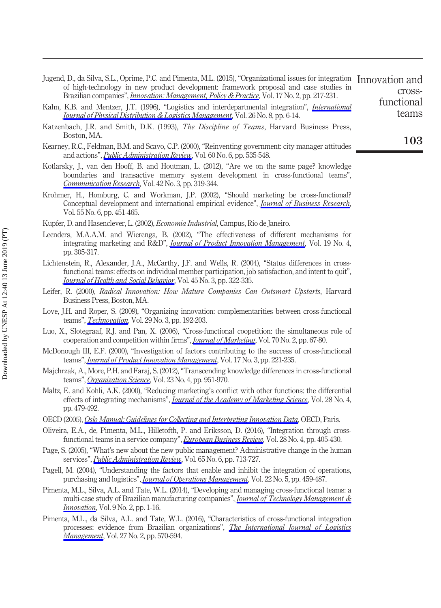- <span id="page-20-19"></span>Jugend, D., da Silva, S.L., Oprime, P.C. and Pimenta, M.L. (2015), "Organizational issues for integration Innovation and of high-technology in new product development: framework proposal and case studies in Brazilian companies", *[Innovation: Management, Policy & Practice](https://www.emeraldinsight.com/action/showLinks?doi=10.1108%2FTPM-12-2016-0056&crossref=10.1080%2F14479338.2015.1013428&isi=000361210800004&citationId=p_34)*, Vol. 17 No. 2, pp. 217-231.
- <span id="page-20-1"></span>Kahn, K.B. and Mentzer, J.T. (1996), "Logistics and interdepartmental integration", *[International](https://www.emeraldinsight.com/action/showLinks?doi=10.1108%2FTPM-12-2016-0056&system=10.1108%2F09600039610182753&citationId=p_35)* [Journal of Physical Distribution & Logistics Management](https://www.emeraldinsight.com/action/showLinks?doi=10.1108%2FTPM-12-2016-0056&system=10.1108%2F09600039610182753&citationId=p_35), Vol. 26 No. 8, pp. 6-14.
- <span id="page-20-10"></span>Katzenbach, J.R. and Smith, D.K. (1993), *The Discipline of Teams*, Harvard Business Press, Boston, MA.
- <span id="page-20-5"></span>Kearney, R.C., Feldman, B.M. and Scavo, C.P. (2000), "Reinventing government: city manager attitudes and actions", *[Public Administration Review](https://www.emeraldinsight.com/action/showLinks?doi=10.1108%2FTPM-12-2016-0056&crossref=10.1111%2F0033-3352.00116&isi=000165302800005&citationId=p_37)*, Vol. 60 No. 6, pp. 535-548.
- <span id="page-20-17"></span>Kotlarsky, J., van den Hooff, B. and Houtman, L. (2012), "Are we on the same page? knowledge boundaries and transactive memory system development in cross-functional teams", [Communication Research](https://www.emeraldinsight.com/action/showLinks?doi=10.1108%2FTPM-12-2016-0056&crossref=10.1177%2F0093650212469402&isi=000351588400001&citationId=p_38), Vol. 42 No. 3, pp. 319-344.
- <span id="page-20-7"></span>Krohmer, H., Homburg, C. and Workman, J.P. (2002), "Should marketing be cross-functional? Conceptual development and international empirical evidence", *[Journal of Business Research](https://www.emeraldinsight.com/action/showLinks?doi=10.1108%2FTPM-12-2016-0056&crossref=10.1016%2FS0148-2963%2800%2900176-4&isi=000175983500003&citationId=p_39)*, Vol. 55 No. 6, pp. 451-465.
- <span id="page-20-3"></span>Kupfer, D. and Hasenclever, L. (2002), *Economia Industrial*, Campus, Rio de Janeiro.
- <span id="page-20-12"></span>Leenders, M.A.A.M. and Wierenga, B. (2002), "The effectiveness of different mechanisms for integrating marketing and R&D", *[Journal of Product Innovation Management](https://www.emeraldinsight.com/action/showLinks?doi=10.1108%2FTPM-12-2016-0056&crossref=10.1016%2FS0737-6782%2802%2900147-9&isi=000177365600005&citationId=p_41)*, Vol. 19 No. 4, pp. 305-317.
- <span id="page-20-14"></span>Lichtenstein, R., Alexander, J.A., McCarthy, J.F. and Wells, R. (2004), "Status differences in crossfunctional teams: effects on individual member participation, job satisfaction, and intent to quit", [Journal of Health and Social Behavior](https://www.emeraldinsight.com/action/showLinks?doi=10.1108%2FTPM-12-2016-0056&crossref=10.1177%2F002214650404500306&isi=000227858800006&citationId=p_42), Vol. 45 No. 3, pp. 322-335.
- <span id="page-20-20"></span>Leifer, R. (2000), Radical Innovation: How Mature Companies Can Outsmart Upstarts, Harvard Business Press, Boston, MA.
- <span id="page-20-9"></span>Love, J.H. and Roper, S. (2009), "Organizing innovation: complementarities between cross-functional teams", *[Technovation](https://www.emeraldinsight.com/action/showLinks?doi=10.1108%2FTPM-12-2016-0056&crossref=10.1016%2Fj.technovation.2008.07.008&isi=000264619700004&citationId=p_44)*, Vol. 29 No. 3, pp. 192-203.
- <span id="page-20-8"></span>Luo, X., Slotegraaf, R.J. and Pan, X. (2006), "Cross-functional coopetition: the simultaneous role of cooperation and competition within firms", *[Journal of Marketing](https://www.emeraldinsight.com/action/showLinks?doi=10.1108%2FTPM-12-2016-0056&crossref=10.1509%2Fjmkg.70.2.067&isi=000236721900005&citationId=p_45)*, Vol. 70 No. 2, pp. 67-80.
- <span id="page-20-16"></span>McDonough III, E.F. (2000), "Investigation of factors contributing to the success of cross-functional teams", *[Journal of Product Innovation Management](https://www.emeraldinsight.com/action/showLinks?doi=10.1108%2FTPM-12-2016-0056&crossref=10.1111%2F1540-5885.1730221&isi=000087542100006&citationId=p_46)*, Vol. 17 No. 3, pp. 221-235.
- <span id="page-20-18"></span>Majchrzak, A., More, P.H. and Faraj, S. (2012), "Transcending knowledge differences in cross-functional teams", [Organization Science](https://www.emeraldinsight.com/action/showLinks?doi=10.1108%2FTPM-12-2016-0056&crossref=10.1287%2Forsc.1110.0677&isi=000306637100003&citationId=p_47), Vol. 23 No. 4, pp. 951-970.
- <span id="page-20-6"></span>Maltz, E. and Kohli, A.K. (2000), "Reducing marketing's conflict with other functions: the differential effects of integrating mechanisms", *[Journal of the Academy of Marketing Science](https://www.emeraldinsight.com/action/showLinks?doi=10.1108%2FTPM-12-2016-0056&crossref=10.1177%2F0092070300284002&isi=000089229200002&citationId=p_48)*, Vol. 28 No. 4, pp. 479-492.
- <span id="page-20-4"></span>OECD (2005), [Oslo Manual: Guidelines for Collecting and Interpreting Innovation Data](https://www.emeraldinsight.com/action/showLinks?doi=10.1108%2FTPM-12-2016-0056&crossref=10.1787%2F9789264013100-en&citationId=p_49), OECD, Paris.
- <span id="page-20-13"></span>Oliveira, E.A., de, Pimenta, M.L., Hilletofth, P. and Eriksson, D. (2016), "Integration through crossfunctional teams in a service company", *[European Business Review](https://www.emeraldinsight.com/action/showLinks?doi=10.1108%2FTPM-12-2016-0056&system=10.1108%2FEBR-01-2016-0014&isi=000379771300002&citationId=p_50)*, Vol. 28 No. 4, pp. 405-430.
- <span id="page-20-0"></span>Page, S. (2005), "What's new about the new public management? Administrative change in the human services", *[Public Administration Review](https://www.emeraldinsight.com/action/showLinks?doi=10.1108%2FTPM-12-2016-0056&crossref=10.1111%2Fj.1540-6210.2005.00500.x&isi=000233417600008&citationId=p_51)*, Vol. 65 No. 6, pp. 713-727.
- <span id="page-20-11"></span>Pagell, M. (2004), "Understanding the factors that enable and inhibit the integration of operations, purchasing and logistics", *[Journal of Operations Management](https://www.emeraldinsight.com/action/showLinks?doi=10.1108%2FTPM-12-2016-0056&crossref=10.1016%2Fj.jom.2004.05.008&isi=000223750100002&citationId=p_52)*, Vol. 22 No. 5, pp. 459-487.
- <span id="page-20-2"></span>Pimenta, M.L., Silva, A.L. and Tate, W.L. (2014), "Developing and managing cross-functional teams: a multi-case study of Brazilian manufacturing companies", [Journal of Technology Management &](https://www.emeraldinsight.com/action/showLinks?doi=10.1108%2FTPM-12-2016-0056&crossref=10.4067%2FS0718-27242014000200001&citationId=p_53) *[Innovation](https://www.emeraldinsight.com/action/showLinks?doi=10.1108%2FTPM-12-2016-0056&crossref=10.4067%2FS0718-27242014000200001&citationId=p_53)*, Vol. 9 No. 2, pp. 1-16.
- <span id="page-20-15"></span>Pimenta, M.L., da Silva, A.L. and Tate, W.L. (2016), "Characteristics of cross-functional integration processes: evidence from Brazilian organizations", *[The International Journal of Logistics](https://www.emeraldinsight.com/action/showLinks?doi=10.1108%2FTPM-12-2016-0056&system=10.1108%2FIJLM-01-2014-0010&isi=000381315600018&citationId=p_54)* [Management](https://www.emeraldinsight.com/action/showLinks?doi=10.1108%2FTPM-12-2016-0056&system=10.1108%2FIJLM-01-2014-0010&isi=000381315600018&citationId=p_54), Vol. 27 No. 2, pp. 570-594.

crossfunctional teams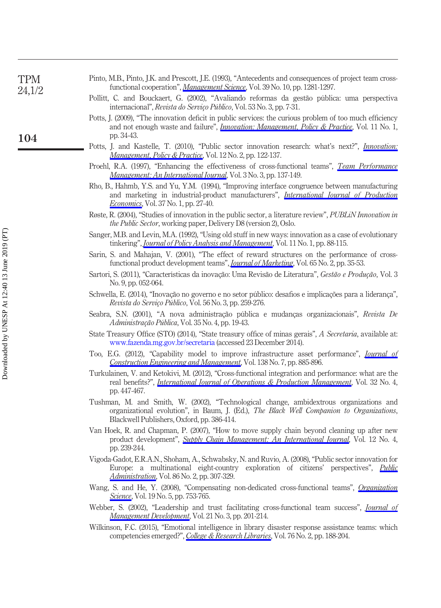<span id="page-21-19"></span><span id="page-21-17"></span><span id="page-21-16"></span><span id="page-21-13"></span><span id="page-21-8"></span><span id="page-21-7"></span><span id="page-21-6"></span><span id="page-21-5"></span><span id="page-21-3"></span><span id="page-21-2"></span><span id="page-21-1"></span>

| <b>TPM</b> | Pinto, M.B., Pinto, J.K. and Prescott, J.E. (1993), "Antecedents and consequences of project team cross-<br>functional cooperation", <i>Management Science</i> , Vol. 39 No. 10, pp. 1281-1297.                                                     |
|------------|-----------------------------------------------------------------------------------------------------------------------------------------------------------------------------------------------------------------------------------------------------|
| 24,1/2     | Pollitt, C. and Bouckaert, G. (2002), "Avaliando reformas da gestão pública: uma perspectiva<br>internacional", <i>Revista do Serviço Público</i> , Vol. 53 No. 3, pp. 7-31.                                                                        |
| 104        | Potts, J. (2009), "The innovation deficit in public services: the curious problem of too much efficiency<br>and not enough waste and failure", <i>Innovation: Management, Policy &amp; Practice</i> , Vol. 11 No. 1,<br>pp. 34-43.                  |
|            | Potts, J. and Kastelle, T. (2010), "Public sector innovation research: what's next?", <i>Innovation:</i><br>Management, Policy & Practice, Vol. 12 No. 2, pp. 122-137.                                                                              |
|            | Proehl, R.A. (1997), "Enhancing the effectiveness of cross-functional teams", Team Performance<br>Management: An International Journal, Vol. 3 No. 3, pp. 137-149.                                                                                  |
|            | Rho, B., Hahmb, Y.S. and Yu, Y.M. (1994), "Improving interface congruence between manufacturing<br>and marketing in industrial-product manufacturers", <i>International Journal of Production</i><br><i>Economics</i> , Vol. 37 No. 1, pp. 27-40.   |
|            | Røste, R. (2004), "Studies of innovation in the public sector, a literature review", PUBLiN Innovation in<br><i>the Public Sector</i> , working paper, Delivery D8 (version 2), Oslo.                                                               |
|            | Sanger, M.B. and Levin, M.A. (1992), "Using old stuff in new ways: innovation as a case of evolutionary<br>tinkering", <i>Journal of Policy Analysis and Management</i> , Vol. 11 No. 1, pp. 88-115.                                                |
|            | Sarin, S. and Mahajan, V. (2001), "The effect of reward structures on the performance of cross-<br>functional product development teams", <i>Journal of Marketing</i> , Vol. 65 No. 2, pp. 35-53.                                                   |
|            | Sartori, S. (2011), "Características da inovação: Uma Revisão de Literatura", Gestão e Produção, Vol. 3<br>No. 9, pp. 052-064.                                                                                                                      |
|            | Schwella, E. (2014), "Inovação no governo e no setor público: desafios e implicações para a liderança",<br>Revista do Serviço Público, Vol. 56 No. 3, pp. 259-276.                                                                                  |
|            | Seabra, S.N. (2001), "A nova administração pública e mudanças organizacionais", Revista De<br>Administração Pública, Vol. 35 No. 4, pp. 19-43.                                                                                                      |
|            | State Treasury Office (STO) (2014), "State treasury office of minas gerais", A Secretaria, available at:<br>www.fazenda.mg.gov.br/secretaria (accessed 23 December 2014).                                                                           |
|            | Too, E.G. (2012), "Capability model to improve infrastructure asset performance", <i>Journal of</i><br>Construction Engineering and Management, Vol. 138 No. 7, pp. 885-896.                                                                        |
|            | Turkulainen, V. and Ketokivi, M. (2012), "Cross-functional integration and performance: what are the<br>real benefits?", <i>International Journal of Oberations &amp; Production Management</i> , Vol. 32 No. 4,<br>pp. 447-467.                    |
|            | Tushman, M. and Smith, W. (2002), "Technological change, ambidextrous organizations and<br>organizational evolution", in Baum, J. (Ed.), The Black Well Companion to Organizations,<br>Blackwell Publishers, Oxford, pp. 386-414.                   |
|            | Van Hoek, R. and Chapman, P. (2007), "How to move supply chain beyond cleaning up after new<br>product development", <i>Supply Chain Management: An International Journal</i> , Vol. 12 No. 4,<br>pp. 239-244.                                      |
|            | Vigoda-Gadot, E.R.A.N., Shoham, A., Schwabsky, N. and Ruvio, A. (2008), "Public sector innovation for<br>Europe: a multinational eight-country exploration of citizens' perspectives", <i>Public</i><br>Administration, Vol. 86 No. 2, pp. 307-329. |
|            | Wang, S. and He, Y. (2008), "Compensating non-dedicated cross-functional teams", <i>Organization</i><br><i>Science</i> , Vol. 19 No. 5, pp. 753-765.                                                                                                |
|            | Webber, S. (2002), "Leadership and trust facilitating cross-functional team success", <i>Journal of</i><br>Management Development, Vol. 21 No. 3, pp. 201-214.                                                                                      |

<span id="page-21-20"></span><span id="page-21-18"></span><span id="page-21-15"></span><span id="page-21-14"></span><span id="page-21-12"></span><span id="page-21-11"></span><span id="page-21-10"></span><span id="page-21-9"></span><span id="page-21-4"></span><span id="page-21-0"></span>Wilkinson, F.C. (2015), "Emotional intelligence in library disaster response assistance teams: which competencies emerged?", *[College & Research Libraries](https://www.emeraldinsight.com/action/showLinks?doi=10.1108%2FTPM-12-2016-0056&crossref=10.5860%2Fcrl.76.2.188&isi=000352982100006&citationId=p_75)*, Vol. 76 No. 2, pp. 188-204.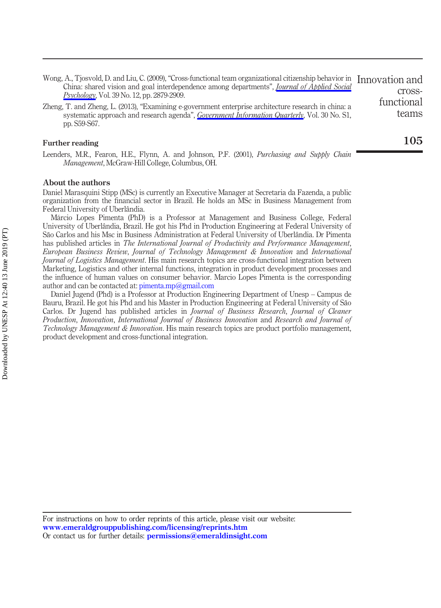- <span id="page-22-0"></span>Wong, A., Tjosvold, D. and Liu, C. (2009), "Cross-functional team organizational citizenship behavior in Innovation and China: shared vision and goal interdependence among departments", *[Journal of Applied Social](https://www.emeraldinsight.com/action/showLinks?doi=10.1108%2FTPM-12-2016-0056&crossref=10.1111%2Fj.1559-1816.2009.00554.x&isi=000272575200007&citationId=p_76)* [Psychology](https://www.emeraldinsight.com/action/showLinks?doi=10.1108%2FTPM-12-2016-0056&crossref=10.1111%2Fj.1559-1816.2009.00554.x&isi=000272575200007&citationId=p_76), Vol. 39 No. 12, pp. 2879-2909.
- <span id="page-22-1"></span>Zheng, T. and Zheng, L. (2013), "Examining e-government enterprise architecture research in china: a systematic approach and research agenda", *[Government Information Quarterly](https://www.emeraldinsight.com/action/showLinks?doi=10.1108%2FTPM-12-2016-0056&crossref=10.1016%2Fj.giq.2012.08.005&citationId=p_77)*, Vol. 30 No. S1, pp. S59-S67.

#### Further reading

Leenders, M.R., Fearon, H.E., Flynn, A. and Johnson, P.F. (2001), *Purchasing and Supply Chain* Management, McGraw-Hill College, Columbus, OH.

#### About the authors

Daniel Marasquini Stipp (MSc) is currently an Executive Manager at Secretaria da Fazenda, a public organization from the financial sector in Brazil. He holds an MSc in Business Management from Federal University of Uberlândia.

Márcio Lopes Pimenta (PhD) is a Professor at Management and Business College, Federal University of Uberlândia, Brazil. He got his Phd in Production Engineering at Federal University of São Carlos and his Msc in Business Administration at Federal University of Uberlândia. Dr Pimenta has published articles in The International Journal of Productivity and Performance Management, European Business Review, Journal of Technology Management & Innovation and International Journal of Logistics Management. His main research topics are cross-functional integration between Marketing, Logistics and other internal functions, integration in product development processes and the influence of human values on consumer behavior. Marcio Lopes Pimenta is the corresponding author and can be contacted at: [pimenta.mp@gmail.com](mailto:pimenta.mp@gmail.com)

Daniel Jugend (Phd) is a Professor at Production Engineering Department of Unesp – Campus de Bauru, Brazil. He got his Phd and his Master in Production Engineering at Federal University of São Carlos. Dr Jugend has published articles in *Journal of Business Research, Journal of Cleaner* Production, Innovation, International Journal of Business Innovation and Research and Journal of Technology Management & Innovation. His main research topics are product portfolio management, product development and cross-functional integration.

For instructions on how to order reprints of this article, please visit our website: www.emeraldgrouppublishing.com/licensing/reprints.htm Or contact us for further details: **permissions@emeraldinsight.com**